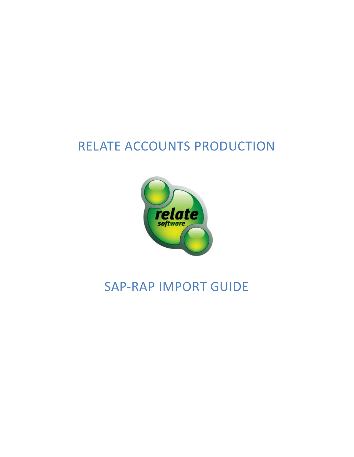# RELATE ACCOUNTS PRODUCTION



## SAP-RAP IMPORT GUIDE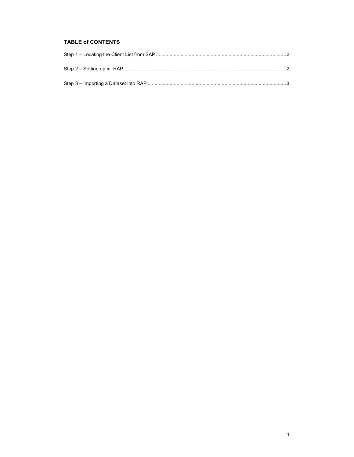## **TABLE of CONTENTS**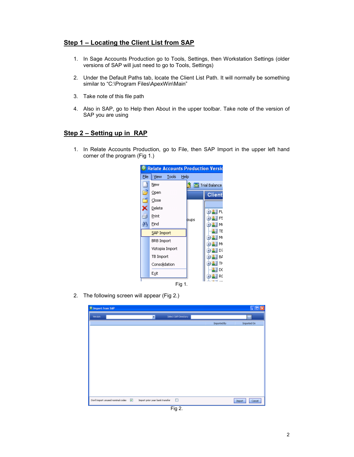## **Step 1 – Locating the Client List from SAP**

- 1. In Sage Accounts Production go to Tools, Settings, then Workstation Settings (older versions of SAP will just need to go to Tools, Settings)
- 2. Under the Default Paths tab, locate the Client List Path. It will normally be something similar to "C:\Program Files\ApexWin\Main"
- 3. Take note of this file path
- 4. Also in SAP, go to Help then About in the upper toolbar. Take note of the version of SAP you are using

## **Step 2 – Setting up in RAP**

1. In Relate Accounts Production, go to File, then SAP Import in the upper left hand corner of the program (Fig 1.)



2. The following screen will appear (Fig 2.)

| <sup>®</sup> Import from SAP |                                                                                                 |                      |                    | $\Box$ d $\boxtimes$ |
|------------------------------|-------------------------------------------------------------------------------------------------|----------------------|--------------------|----------------------|
| Version:                     | $\blacksquare$                                                                                  | Select SAP Directory |                    | $\blacksquare$       |
|                              |                                                                                                 |                      | <b>Imported By</b> | <b>Imported On</b>   |
|                              |                                                                                                 |                      |                    |                      |
|                              |                                                                                                 |                      |                    |                      |
|                              |                                                                                                 |                      |                    |                      |
|                              |                                                                                                 |                      |                    |                      |
|                              |                                                                                                 |                      |                    |                      |
|                              |                                                                                                 |                      |                    |                      |
|                              |                                                                                                 |                      |                    |                      |
|                              |                                                                                                 |                      |                    |                      |
|                              |                                                                                                 |                      |                    |                      |
|                              |                                                                                                 |                      |                    |                      |
|                              |                                                                                                 |                      |                    |                      |
|                              | Don't import unused nominal codes $\boxed{v}$ . Import prior year bank transfer $\boxed{ \Box}$ |                      | <b>Inport</b>      | Cancel               |

Fig 2.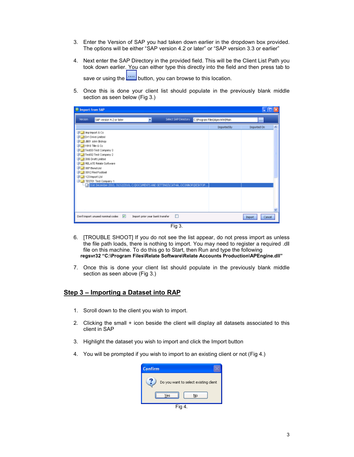- 3. Enter the Version of SAP you had taken down earlier in the dropdown box provided. The options will be either "SAP version 4.2 or later" or "SAP version 3.3 or earlier"
- 4. Next enter the SAP Directory in the provided field. This will be the Client List Path you took down earlier. You can either type this directly into the field and then press tab to save or using the **button**, you can browse to this location.
- 5. Once this is done your client list should populate in the previously blank middle section as seen below (Fig 3.)

| <b>Elmport from SAP</b>                                         |                                       |                                                                                    |                      |                                |                    | JD     |
|-----------------------------------------------------------------|---------------------------------------|------------------------------------------------------------------------------------|----------------------|--------------------------------|--------------------|--------|
| <b>Version</b>                                                  | SAP version 4.2 or later              |                                                                                    | Select SAP Directory | CifProgram Files\ApexWinUtlain | $\cdots$           |        |
|                                                                 |                                       |                                                                                    |                      | <b>Imported By</b>             | <b>Imported On</b> | ×      |
| St_I inplayed & Co                                              |                                       |                                                                                    |                      |                                |                    |        |
| <b>BILL TOYT Drive Limited</b><br><b>Bright Jeth Adm Bishop</b> |                                       |                                                                                    |                      |                                |                    |        |
| U 1918 The S Co                                                 |                                       |                                                                                    |                      |                                |                    |        |
|                                                                 | Test09 Test Company 3                 |                                                                                    |                      |                                |                    |        |
|                                                                 | Test02 Test Concery 2                 |                                                                                    |                      |                                |                    |        |
| 31 N DOG Draft Limited                                          | 31 A RELATE Relate Software           |                                                                                    |                      |                                |                    |        |
| <b>JU 1007 Bond Ltd</b>                                         |                                       |                                                                                    |                      |                                |                    |        |
| 31   0012 Red Football                                          |                                       |                                                                                    |                      |                                |                    |        |
| di 123 Inport Uni                                               |                                       |                                                                                    |                      |                                |                    |        |
|                                                                 | TESTO1 Test Company 1                 | 39 Stat December 2010, St(12/2010, CHDOCUMENTS AND SETTINGS)CATHAL OCOMMORIDES/TOP |                      |                                |                    |        |
|                                                                 |                                       |                                                                                    |                      |                                |                    |        |
|                                                                 |                                       |                                                                                    |                      |                                |                    |        |
|                                                                 |                                       |                                                                                    |                      |                                |                    |        |
|                                                                 |                                       |                                                                                    |                      |                                |                    |        |
|                                                                 |                                       |                                                                                    |                      |                                |                    |        |
|                                                                 | Don't import unused nominal codes [9] | Import prior year bank transfer                                                    | Ð                    |                                | <b>Inport</b>      | Cancel |
|                                                                 |                                       |                                                                                    | Fig 3.               |                                |                    |        |

- 6. [TROUBLE SHOOT] If you do not see the list appear, do not press import as unless the file path loads, there is nothing to import. You may need to register a required .dll file on this machine. To do this go to Start, then Run and type the following **regsvr32 "C:\Program Files\Relate Software\Relate Accounts Production\APEngine.dll"**
- 7. Once this is done your client list should populate in the previously blank middle section as seen above (Fig 3.)

#### **Step 3 – Importing a Dataset into RAP**

- 1. Scroll down to the client you wish to import.
- 2. Clicking the small + icon beside the client will display all datasets associated to this client in SAP
- 3. Highlight the dataset you wish to import and click the Import button
- 4. You will be prompted if you wish to import to an existing client or not (Fig 4.)